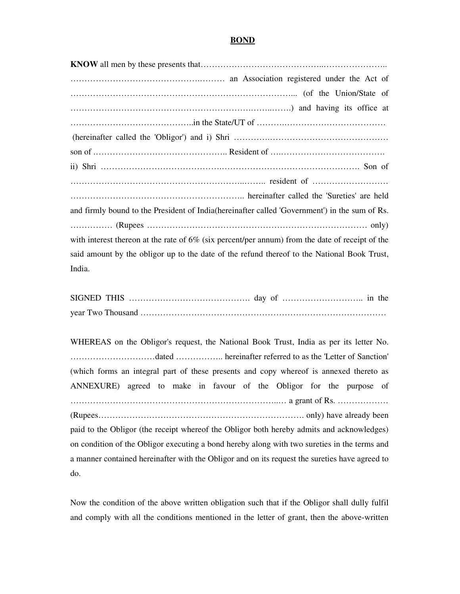## **BOND**

| and firmly bound to the President of India (hereinafter called 'Government') in the sum of Rs.     |
|----------------------------------------------------------------------------------------------------|
|                                                                                                    |
| with interest thereon at the rate of $6\%$ (six percent/per annum) from the date of receipt of the |
| said amount by the obligor up to the date of the refund thereof to the National Book Trust,        |
| India.                                                                                             |

WHEREAS on the Obligor's request, the National Book Trust, India as per its letter No. …………………………dated …………….. hereinafter referred to as the 'Letter of Sanction' (which forms an integral part of these presents and copy whereof is annexed thereto as ANNEXURE) agreed to make in favour of the Obligor for the purpose of ………………………………………………………………..… a grant of Rs. ……………… (Rupees………………………………………………………………. only) have already been paid to the Obligor (the receipt whereof the Obligor both hereby admits and acknowledges) on condition of the Obligor executing a bond hereby along with two sureties in the terms and a manner contained hereinafter with the Obligor and on its request the sureties have agreed to do.

Now the condition of the above written obligation such that if the Obligor shall dully fulfil and comply with all the conditions mentioned in the letter of grant, then the above-written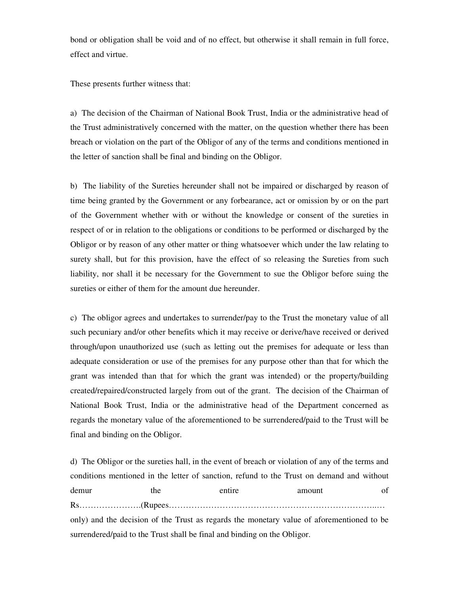bond or obligation shall be void and of no effect, but otherwise it shall remain in full force, effect and virtue.

These presents further witness that:

a) The decision of the Chairman of National Book Trust, India or the administrative head of the Trust administratively concerned with the matter, on the question whether there has been breach or violation on the part of the Obligor of any of the terms and conditions mentioned in the letter of sanction shall be final and binding on the Obligor.

b) The liability of the Sureties hereunder shall not be impaired or discharged by reason of time being granted by the Government or any forbearance, act or omission by or on the part of the Government whether with or without the knowledge or consent of the sureties in respect of or in relation to the obligations or conditions to be performed or discharged by the Obligor or by reason of any other matter or thing whatsoever which under the law relating to surety shall, but for this provision, have the effect of so releasing the Sureties from such liability, nor shall it be necessary for the Government to sue the Obligor before suing the sureties or either of them for the amount due hereunder.

c) The obligor agrees and undertakes to surrender/pay to the Trust the monetary value of all such pecuniary and/or other benefits which it may receive or derive/have received or derived through/upon unauthorized use (such as letting out the premises for adequate or less than adequate consideration or use of the premises for any purpose other than that for which the grant was intended than that for which the grant was intended) or the property/building created/repaired/constructed largely from out of the grant. The decision of the Chairman of National Book Trust, India or the administrative head of the Department concerned as regards the monetary value of the aforementioned to be surrendered/paid to the Trust will be final and binding on the Obligor.

d) The Obligor or the sureties hall, in the event of breach or violation of any of the terms and conditions mentioned in the letter of sanction, refund to the Trust on demand and without demur the entire amount of Rs………………….(Rupees………………………………………………………………..… only) and the decision of the Trust as regards the monetary value of aforementioned to be surrendered/paid to the Trust shall be final and binding on the Obligor.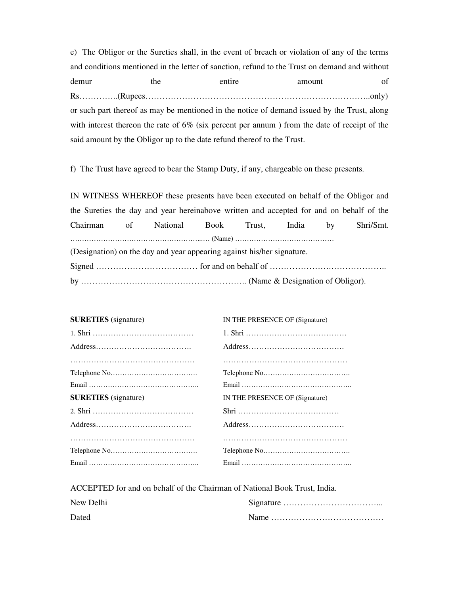e) The Obligor or the Sureties shall, in the event of breach or violation of any of the terms and conditions mentioned in the letter of sanction, refund to the Trust on demand and without demur the entire amount of Rs…………..(Rupees……………………………………………………………………..only) or such part thereof as may be mentioned in the notice of demand issued by the Trust, along with interest thereon the rate of 6% (six percent per annum ) from the date of receipt of the said amount by the Obligor up to the date refund thereof to the Trust.

f) The Trust have agreed to bear the Stamp Duty, if any, chargeable on these presents.

IN WITNESS WHEREOF these presents have been executed on behalf of the Obligor and the Sureties the day and year hereinabove written and accepted for and on behalf of the Chairman of National Book Trust, India by Shri/Smt. ………………………………………………...… (Name) …………………………………… (Designation) on the day and year appearing against his/her signature. Signed ……………………………… for and on behalf of ………………….………………..

by ………………………………………………….. (Name & Designation of Obligor).

| <b>SURETIES</b> (signature) | IN THE PRESENCE OF (Signature) |
|-----------------------------|--------------------------------|
|                             |                                |
|                             |                                |
|                             |                                |
|                             |                                |
|                             |                                |
| <b>SURETIES</b> (signature) | IN THE PRESENCE OF (Signature) |
|                             |                                |
|                             |                                |
|                             |                                |
|                             |                                |
|                             |                                |

ACCEPTED for and on behalf of the Chairman of National Book Trust, India.

| New Delhi |  |
|-----------|--|
| Dated     |  |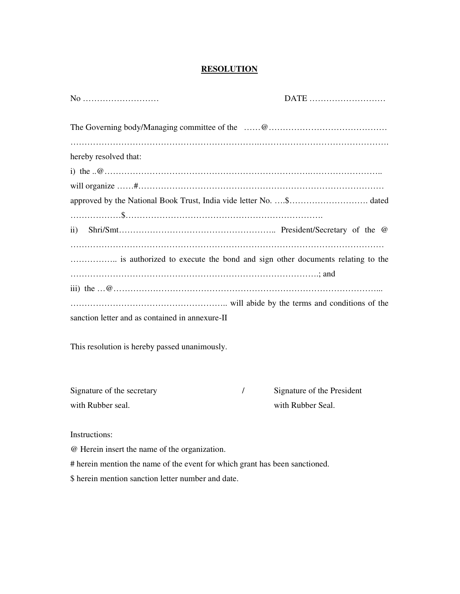## **RESOLUTION**

| No                                                                         | DATE |
|----------------------------------------------------------------------------|------|
|                                                                            |      |
|                                                                            |      |
| hereby resolved that:                                                      |      |
|                                                                            |      |
|                                                                            |      |
|                                                                            |      |
|                                                                            |      |
| $\mathbf{ii}$                                                              |      |
|                                                                            |      |
| is authorized to execute the bond and sign other documents relating to the |      |
|                                                                            |      |
|                                                                            |      |
|                                                                            |      |
| sanction letter and as contained in annexure-II                            |      |

This resolution is hereby passed unanimously.

| Signature of the secretary | Signature of the President |
|----------------------------|----------------------------|
| with Rubber seal.          | with Rubber Seal.          |

Instructions:

@ Herein insert the name of the organization.

# herein mention the name of the event for which grant has been sanctioned.

\$ herein mention sanction letter number and date.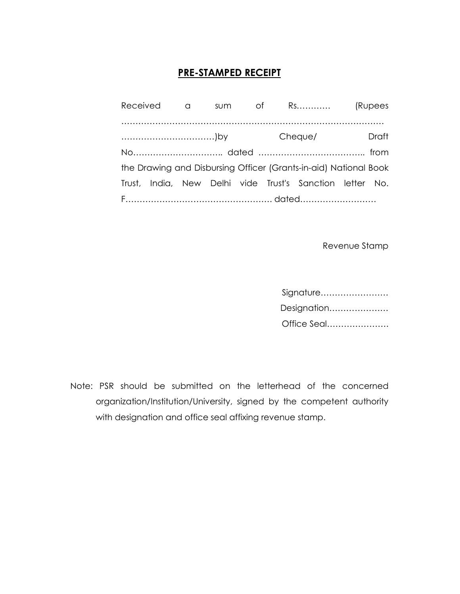## PRE-STAMPED RECEIPT

|  |  | Received a sum of Rs (Rupees |                                                                  |  |       |
|--|--|------------------------------|------------------------------------------------------------------|--|-------|
|  |  |                              |                                                                  |  |       |
|  |  |                              |                                                                  |  | Draft |
|  |  |                              |                                                                  |  |       |
|  |  |                              | the Drawing and Disbursing Officer (Grants-in-aid) National Book |  |       |
|  |  |                              | Trust, India, New Delhi vide Trust's Sanction letter No.         |  |       |
|  |  |                              |                                                                  |  |       |

Revenue Stamp

| Signature   |
|-------------|
| Designation |
| Office Seal |

Note: PSR should be submitted on the letterhead of the concerned organization/Institution/University, signed by the competent authority with designation and office seal affixing revenue stamp.